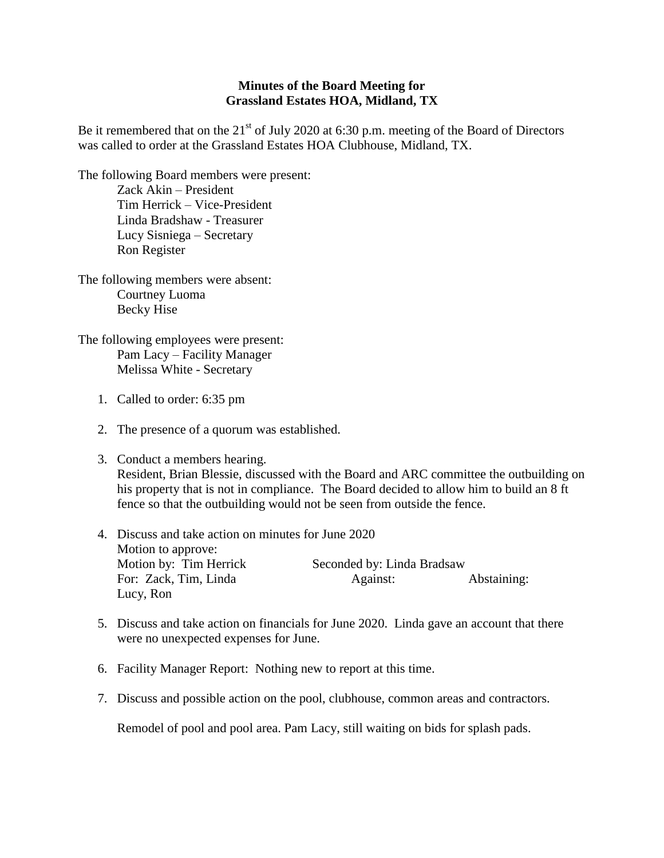## **Minutes of the Board Meeting for Grassland Estates HOA, Midland, TX**

Be it remembered that on the  $21<sup>st</sup>$  of July 2020 at 6:30 p.m. meeting of the Board of Directors was called to order at the Grassland Estates HOA Clubhouse, Midland, TX.

The following Board members were present: Zack Akin – President Tim Herrick – Vice-President Linda Bradshaw - Treasurer Lucy Sisniega – Secretary Ron Register

The following members were absent: Courtney Luoma Becky Hise

The following employees were present: Pam Lacy – Facility Manager Melissa White - Secretary

- 1. Called to order: 6:35 pm
- 2. The presence of a quorum was established.
- 3. Conduct a members hearing. Resident, Brian Blessie, discussed with the Board and ARC committee the outbuilding on his property that is not in compliance. The Board decided to allow him to build an 8 ft fence so that the outbuilding would not be seen from outside the fence.
- 4. Discuss and take action on minutes for June 2020 Motion to approve: Motion by: Tim Herrick Seconded by: Linda Bradsaw For: Zack, Tim, Linda Against: Abstaining: Lucy, Ron
- 5. Discuss and take action on financials for June 2020. Linda gave an account that there were no unexpected expenses for June.
- 6. Facility Manager Report: Nothing new to report at this time.
- 7. Discuss and possible action on the pool, clubhouse, common areas and contractors.

Remodel of pool and pool area. Pam Lacy, still waiting on bids for splash pads.